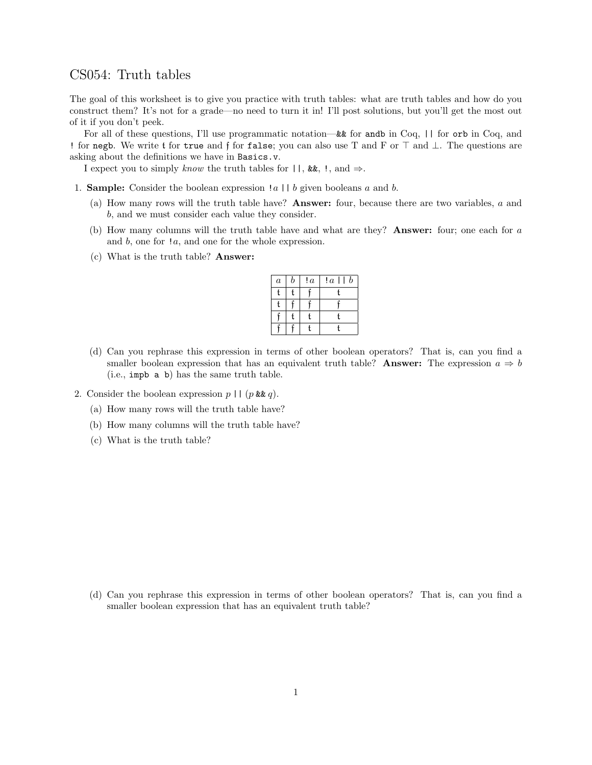## CS054: Truth tables

The goal of this worksheet is to give you practice with truth tables: what are truth tables and how do you construct them? It's not for a grade—no need to turn it in! I'll post solutions, but you'll get the most out of it if you don't peek.

For all of these questions, I'll use programmatic notation—&& for andb in Coq, || for orb in Coq, and ! for negb. We write t for true and f for false; you can also use T and F or  $\top$  and  $\bot$ . The questions are asking about the definitions we have in Basics.v.

I expect you to simply know the truth tables for  $||, \&\&$ ,  $||, \text{and } \Rightarrow$ .

- 1. **Sample:** Consider the boolean expression  $|a| | b$  given booleans a and b.
	- (a) How many rows will the truth table have? Answer: four, because there are two variables, a and b, and we must consider each value they consider.
	- (b) How many columns will the truth table have and what are they? Answer: four; one each for a and b, one for !a, and one for the whole expression.
	- (c) What is the truth table? Answer:

| $\boldsymbol{a}$ | b | ! $\overline{a}$ | $\boldsymbol{b}$<br>!a |
|------------------|---|------------------|------------------------|
| f                | t |                  | ł                      |
| t                |   |                  |                        |
|                  | t |                  |                        |
|                  |   |                  |                        |

- (d) Can you rephrase this expression in terms of other boolean operators? That is, can you find a smaller boolean expression that has an equivalent truth table? Answer: The expression  $a \Rightarrow b$ (i.e., impb a b) has the same truth table.
- 2. Consider the boolean expression  $p \mid (p \& q)$ .
	- (a) How many rows will the truth table have?
	- (b) How many columns will the truth table have?
	- (c) What is the truth table?

(d) Can you rephrase this expression in terms of other boolean operators? That is, can you find a smaller boolean expression that has an equivalent truth table?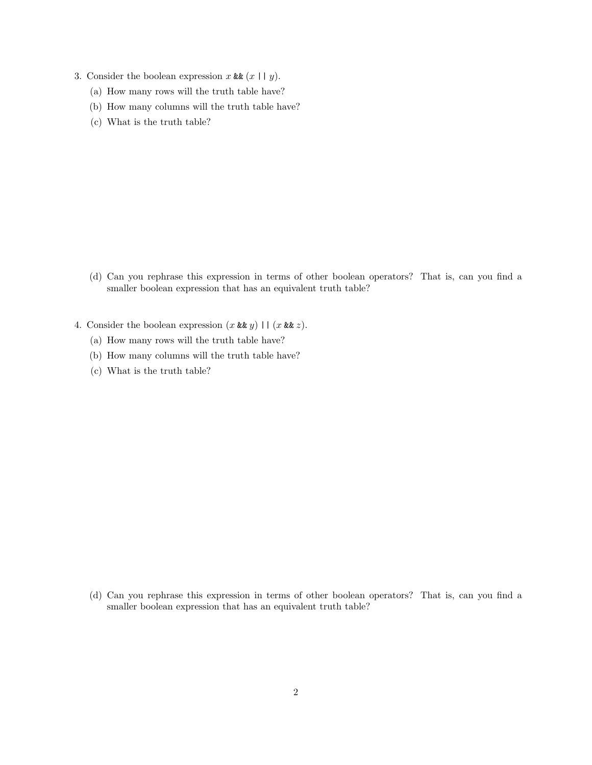- 3. Consider the boolean expression x &&  $(x \mid y)$ .
	- (a) How many rows will the truth table have?
	- (b) How many columns will the truth table have?
	- (c) What is the truth table?

- (d) Can you rephrase this expression in terms of other boolean operators? That is, can you find a smaller boolean expression that has an equivalent truth table?
- 4. Consider the boolean expression  $(x \& g)(\mid (x \& g)$ .
	- (a) How many rows will the truth table have?
	- (b) How many columns will the truth table have?
	- (c) What is the truth table?

(d) Can you rephrase this expression in terms of other boolean operators? That is, can you find a smaller boolean expression that has an equivalent truth table?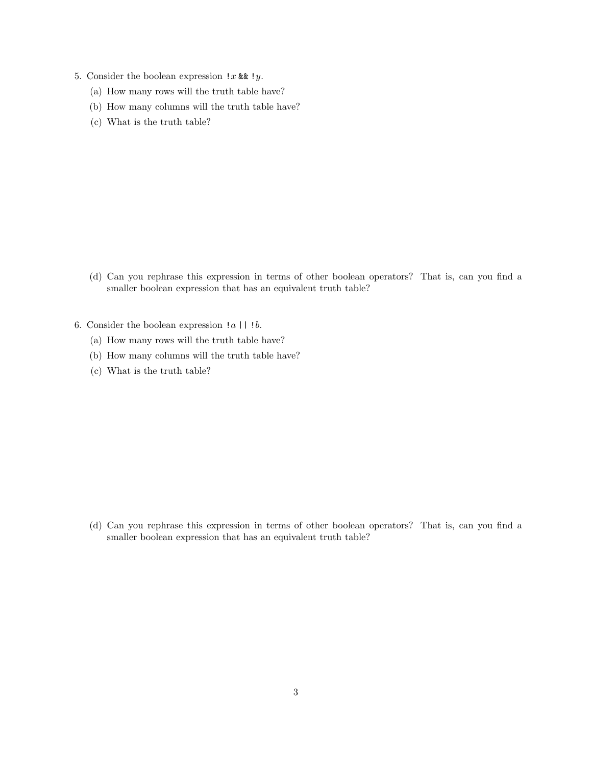- 5. Consider the boolean expression  $!x$  &  $!y$ .
	- (a) How many rows will the truth table have?
	- (b) How many columns will the truth table have?
	- (c) What is the truth table?

- (d) Can you rephrase this expression in terms of other boolean operators? That is, can you find a smaller boolean expression that has an equivalent truth table?
- 6. Consider the boolean expression  $|a|$  |  $|b$ .
	- (a) How many rows will the truth table have?
	- (b) How many columns will the truth table have?
	- (c) What is the truth table?

(d) Can you rephrase this expression in terms of other boolean operators? That is, can you find a smaller boolean expression that has an equivalent truth table?